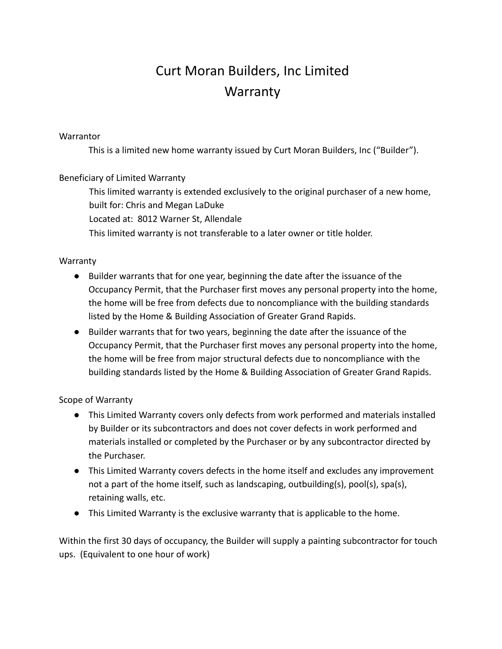# Curt Moran Builders, Inc Limited **Warranty**

### **Warrantor**

This is a limited new home warranty issued by Curt Moran Builders, Inc ("Builder").

## Beneficiary of Limited Warranty

This limited warranty is extended exclusively to the original purchaser of a new home, built for: Chris and Megan LaDuke

Located at: 8012 Warner St, Allendale

This limited warranty is not transferable to a later owner or title holder.

### Warranty

- Builder warrants that for one year, beginning the date after the issuance of the Occupancy Permit, that the Purchaser first moves any personal property into the home, the home will be free from defects due to noncompliance with the building standards listed by the Home & Building Association of Greater Grand Rapids.
- Builder warrants that for two years, beginning the date after the issuance of the Occupancy Permit, that the Purchaser first moves any personal property into the home, the home will be free from major structural defects due to noncompliance with the building standards listed by the Home & Building Association of Greater Grand Rapids.

## Scope of Warranty

- This Limited Warranty covers only defects from work performed and materials installed by Builder or its subcontractors and does not cover defects in work performed and materials installed or completed by the Purchaser or by any subcontractor directed by the Purchaser.
- This Limited Warranty covers defects in the home itself and excludes any improvement not a part of the home itself, such as landscaping, outbuilding(s), pool(s), spa(s), retaining walls, etc.
- This Limited Warranty is the exclusive warranty that is applicable to the home.

Within the first 30 days of occupancy, the Builder will supply a painting subcontractor for touch ups. (Equivalent to one hour of work)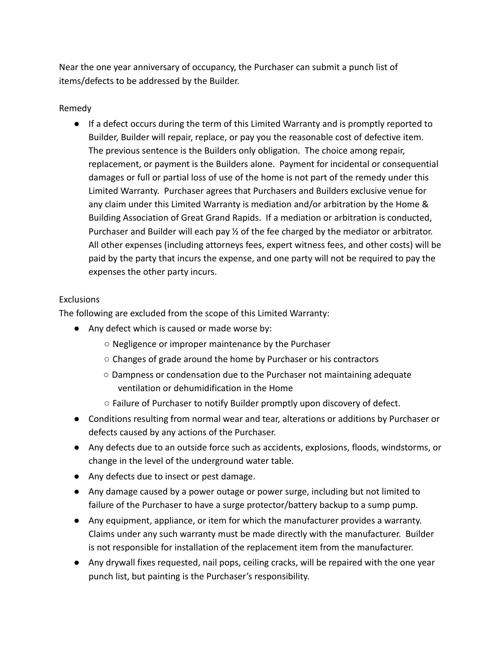Near the one year anniversary of occupancy, the Purchaser can submit a punch list of items/defects to be addressed by the Builder.

#### Remedy

● If a defect occurs during the term of this Limited Warranty and is promptly reported to Builder, Builder will repair, replace, or pay you the reasonable cost of defective item. The previous sentence is the Builders only obligation. The choice among repair, replacement, or payment is the Builders alone. Payment for incidental or consequential damages or full or partial loss of use of the home is not part of the remedy under this Limited Warranty. Purchaser agrees that Purchasers and Builders exclusive venue for any claim under this Limited Warranty is mediation and/or arbitration by the Home & Building Association of Great Grand Rapids. If a mediation or arbitration is conducted, Purchaser and Builder will each pay ½ of the fee charged by the mediator or arbitrator. All other expenses (including attorneys fees, expert witness fees, and other costs) will be paid by the party that incurs the expense, and one party will not be required to pay the expenses the other party incurs.

### **Exclusions**

The following are excluded from the scope of this Limited Warranty:

- Any defect which is caused or made worse by:
	- Negligence or improper maintenance by the Purchaser
	- Changes of grade around the home by Purchaser or his contractors
	- Dampness or condensation due to the Purchaser not maintaining adequate ventilation or dehumidification in the Home
	- Failure of Purchaser to notify Builder promptly upon discovery of defect.
- Conditions resulting from normal wear and tear, alterations or additions by Purchaser or defects caused by any actions of the Purchaser.
- Any defects due to an outside force such as accidents, explosions, floods, windstorms, or change in the level of the underground water table.
- Any defects due to insect or pest damage.
- Any damage caused by a power outage or power surge, including but not limited to failure of the Purchaser to have a surge protector/battery backup to a sump pump.
- Any equipment, appliance, or item for which the manufacturer provides a warranty. Claims under any such warranty must be made directly with the manufacturer. Builder is not responsible for installation of the replacement item from the manufacturer.
- Any drywall fixes requested, nail pops, ceiling cracks, will be repaired with the one year punch list, but painting is the Purchaser's responsibility.